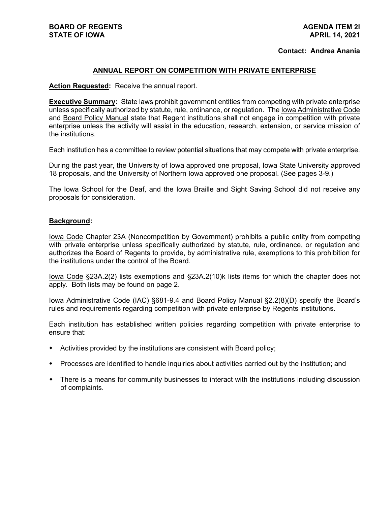#### **Contact: Andrea Anania**

### **ANNUAL REPORT ON COMPETITION WITH PRIVATE ENTERPRISE**

**Action Requested:** Receive the annual report.

**Executive Summary:** State laws prohibit government entities from competing with private enterprise unless specifically authorized by statute, rule, ordinance, or regulation. The Iowa Administrative Code and Board Policy Manual state that Regent institutions shall not engage in competition with private enterprise unless the activity will assist in the education, research, extension, or service mission of the institutions.

Each institution has a committee to review potential situations that may compete with private enterprise.

During the past year, the University of Iowa approved one proposal, Iowa State University approved 18 proposals, and the University of Northern Iowa approved one proposal. (See pages 3-9.)

The Iowa School for the Deaf, and the Iowa Braille and Sight Saving School did not receive any proposals for consideration.

#### **Background:**

Iowa Code Chapter 23A (Noncompetition by Government) prohibits a public entity from competing with private enterprise unless specifically authorized by statute, rule, ordinance, or regulation and authorizes the Board of Regents to provide, by administrative rule, exemptions to this prohibition for the institutions under the control of the Board.

lowa Code §23A.2(2) lists exemptions and §23A.2(10)k lists items for which the chapter does not apply. Both lists may be found on page 2.

Iowa Administrative Code (IAC) §681-9.4 and Board Policy Manual §2.2(8)(D) specify the Board's rules and requirements regarding competition with private enterprise by Regents institutions.

Each institution has established written policies regarding competition with private enterprise to ensure that:

- Activities provided by the institutions are consistent with Board policy;
- Processes are identified to handle inquiries about activities carried out by the institution; and
- There is a means for community businesses to interact with the institutions including discussion of complaints.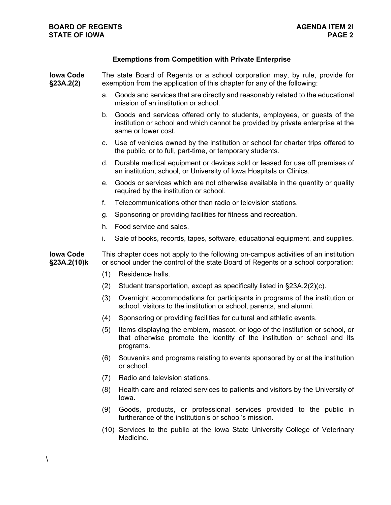# **Exemptions from Competition with Private Enterprise**

| <b>Iowa Code</b><br>§23A.2(2)   | The state Board of Regents or a school corporation may, by rule, provide for<br>exemption from the application of this chapter for any of the following:                  |                                                                                                                                                                                    |  |
|---------------------------------|---------------------------------------------------------------------------------------------------------------------------------------------------------------------------|------------------------------------------------------------------------------------------------------------------------------------------------------------------------------------|--|
|                                 | a.                                                                                                                                                                        | Goods and services that are directly and reasonably related to the educational<br>mission of an institution or school.                                                             |  |
|                                 | b.                                                                                                                                                                        | Goods and services offered only to students, employees, or guests of the<br>institution or school and which cannot be provided by private enterprise at the<br>same or lower cost. |  |
|                                 |                                                                                                                                                                           | c. Use of vehicles owned by the institution or school for charter trips offered to<br>the public, or to full, part-time, or temporary students.                                    |  |
|                                 |                                                                                                                                                                           | d. Durable medical equipment or devices sold or leased for use off premises of<br>an institution, school, or University of Iowa Hospitals or Clinics.                              |  |
|                                 | е.                                                                                                                                                                        | Goods or services which are not otherwise available in the quantity or quality<br>required by the institution or school.                                                           |  |
|                                 | f.                                                                                                                                                                        | Telecommunications other than radio or television stations.                                                                                                                        |  |
|                                 | g.                                                                                                                                                                        | Sponsoring or providing facilities for fitness and recreation.                                                                                                                     |  |
|                                 | h.                                                                                                                                                                        | Food service and sales.                                                                                                                                                            |  |
|                                 | i.                                                                                                                                                                        | Sale of books, records, tapes, software, educational equipment, and supplies.                                                                                                      |  |
| <b>Iowa Code</b><br>§23A.2(10)k | This chapter does not apply to the following on-campus activities of an institution<br>or school under the control of the state Board of Regents or a school corporation: |                                                                                                                                                                                    |  |
|                                 | (1)                                                                                                                                                                       | Residence halls.                                                                                                                                                                   |  |
|                                 | (2)                                                                                                                                                                       | Student transportation, except as specifically listed in §23A.2(2)(c).                                                                                                             |  |
|                                 | (3)                                                                                                                                                                       | Overnight accommodations for participants in programs of the institution or<br>school, visitors to the institution or school, parents, and alumni.                                 |  |
|                                 | (4)                                                                                                                                                                       | Sponsoring or providing facilities for cultural and athletic events.                                                                                                               |  |
|                                 | (5)                                                                                                                                                                       | Items displaying the emblem, mascot, or logo of the institution or school, or<br>that otherwise promote the identity of the institution or school and its<br>programs.             |  |
|                                 | (6)                                                                                                                                                                       | Souvenirs and programs relating to events sponsored by or at the institution<br>or school.                                                                                         |  |
|                                 | (7)                                                                                                                                                                       | Radio and television stations.                                                                                                                                                     |  |
|                                 | (8)                                                                                                                                                                       | Health care and related services to patients and visitors by the University of<br>lowa.                                                                                            |  |
|                                 | (9)                                                                                                                                                                       | Goods, products, or professional services provided to the public in<br>furtherance of the institution's or school's mission.                                                       |  |
|                                 |                                                                                                                                                                           | (10) Services to the public at the Iowa State University College of Veterinary                                                                                                     |  |

 $\lambda$ 

Medicine.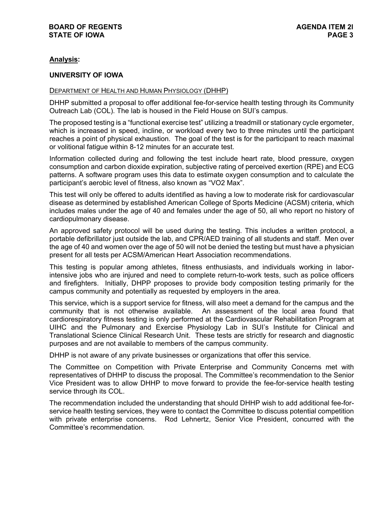# **Analysis:**

### **UNIVERSITY OF IOWA**

#### DEPARTMENT OF HEALTH AND HUMAN PHYSIOLOGY (DHHP)

DHHP submitted a proposal to offer additional fee-for-service health testing through its Community Outreach Lab (COL). The lab is housed in the Field House on SUI's campus.

The proposed testing is a "functional exercise test" utilizing a treadmill or stationary cycle ergometer, which is increased in speed, incline, or workload every two to three minutes until the participant reaches a point of physical exhaustion. The goal of the test is for the participant to reach maximal or volitional fatigue within 8-12 minutes for an accurate test.

Information collected during and following the test include heart rate, blood pressure, oxygen consumption and carbon dioxide expiration, subjective rating of perceived exertion (RPE) and ECG patterns. A software program uses this data to estimate oxygen consumption and to calculate the participant's aerobic level of fitness, also known as "VO2 Max".

This test will only be offered to adults identified as having a low to moderate risk for cardiovascular disease as determined by established American College of Sports Medicine (ACSM) criteria, which includes males under the age of 40 and females under the age of 50, all who report no history of cardiopulmonary disease.

An approved safety protocol will be used during the testing. This includes a written protocol, a portable defibrillator just outside the lab, and CPR/AED training of all students and staff. Men over the age of 40 and women over the age of 50 will not be denied the testing but must have a physician present for all tests per ACSM/American Heart Association recommendations.

This testing is popular among athletes, fitness enthusiasts, and individuals working in laborintensive jobs who are injured and need to complete return-to-work tests, such as police officers and firefighters. Initially, DHPP proposes to provide body composition testing primarily for the campus community and potentially as requested by employers in the area.

This service, which is a support service for fitness, will also meet a demand for the campus and the community that is not otherwise available. An assessment of the local area found that cardiorespiratory fitness testing is only performed at the Cardiovascular Rehabilitation Program at UIHC and the Pulmonary and Exercise Physiology Lab in SUI's Institute for Clinical and Translational Science Clinical Research Unit. These tests are strictly for research and diagnostic purposes and are not available to members of the campus community.

DHHP is not aware of any private businesses or organizations that offer this service.

The Committee on Competition with Private Enterprise and Community Concerns met with representatives of DHHP to discuss the proposal. The Committee's recommendation to the Senior Vice President was to allow DHHP to move forward to provide the fee-for-service health testing service through its COL.

The recommendation included the understanding that should DHHP wish to add additional fee-forservice health testing services, they were to contact the Committee to discuss potential competition with private enterprise concerns. Rod Lehnertz, Senior Vice President, concurred with the Committee's recommendation.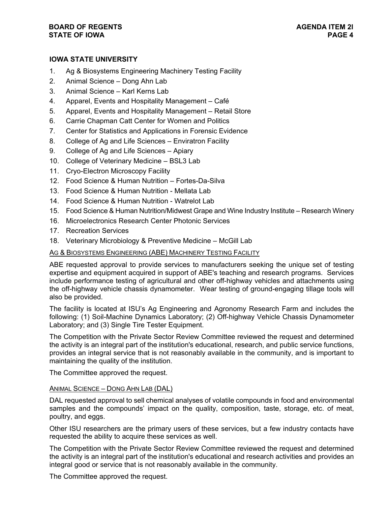## **BOARD OF REGENTS AGENDA ITEM 2l STATE OF IOWA**

# **IOWA STATE UNIVERSITY**

- 1. Ag & Biosystems Engineering Machinery Testing Facility
- 2. Animal Science Dong Ahn Lab
- 3. Animal Science Karl Kerns Lab
- 4. Apparel, Events and Hospitality Management Café
- 5. Apparel, Events and Hospitality Management Retail Store
- 6. Carrie Chapman Catt Center for Women and Politics
- 7. Center for Statistics and Applications in Forensic Evidence
- 8. College of Ag and Life Sciences Enviratron Facility
- 9. College of Ag and Life Sciences Apiary
- 10. College of Veterinary Medicine BSL3 Lab
- 11. Cryo-Electron Microscopy Facility
- 12. Food Science & Human Nutrition Fortes-Da-Silva
- 13. Food Science & Human Nutrition Mellata Lab
- 14. Food Science & Human Nutrition Watrelot Lab
- 15. Food Science & Human Nutrition/Midwest Grape and Wine Industry Institute Research Winery
- 16. Microelectronics Research Center Photonic Services
- 17. Recreation Services
- 18. Veterinary Microbiology & Preventive Medicine McGill Lab

### AG & BIOSYSTEMS ENGINEERING (ABE) MACHINERY TESTING FACILITY

ABE requested approval to provide services to manufacturers seeking the unique set of testing expertise and equipment acquired in support of ABE's teaching and research programs. Services include performance testing of agricultural and other off-highway vehicles and attachments using the off-highway vehicle chassis dynamometer. Wear testing of ground-engaging tillage tools will also be provided.

The facility is located at ISU's Ag Engineering and Agronomy Research Farm and includes the following: (1) Soil-Machine Dynamics Laboratory; (2) Off-highway Vehicle Chassis Dynamometer Laboratory; and (3) Single Tire Tester Equipment.

The Competition with the Private Sector Review Committee reviewed the request and determined the activity is an integral part of the institution's educational, research, and public service functions, provides an integral service that is not reasonably available in the community, and is important to maintaining the quality of the institution.

The Committee approved the request.

### ANIMAL SCIENCE – DONG AHN LAB (DAL)

DAL requested approval to sell chemical analyses of volatile compounds in food and environmental samples and the compounds' impact on the quality, composition, taste, storage, etc. of meat, poultry, and eggs.

Other ISU researchers are the primary users of these services, but a few industry contacts have requested the ability to acquire these services as well.

The Competition with the Private Sector Review Committee reviewed the request and determined the activity is an integral part of the institution's educational and research activities and provides an integral good or service that is not reasonably available in the community.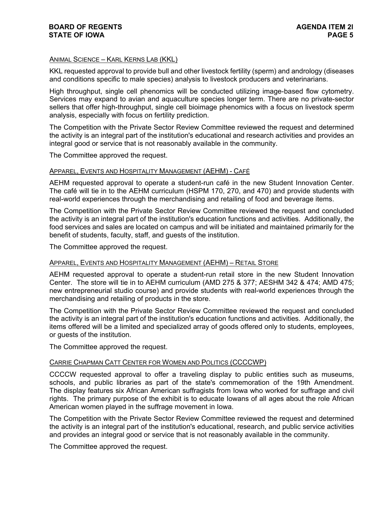### ANIMAL SCIENCE – KARL KERNS LAB (KKL)

KKL requested approval to provide bull and other livestock fertility (sperm) and andrology (diseases and conditions specific to male species) analysis to livestock producers and veterinarians.

High throughput, single cell phenomics will be conducted utilizing image-based flow cytometry. Services may expand to avian and aquaculture species longer term. There are no private-sector sellers that offer high-throughput, single cell bioimage phenomics with a focus on livestock sperm analysis, especially with focus on fertility prediction.

The Competition with the Private Sector Review Committee reviewed the request and determined the activity is an integral part of the institution's educational and research activities and provides an integral good or service that is not reasonably available in the community.

The Committee approved the request.

### APPAREL, EVENTS AND HOSPITALITY MANAGEMENT (AEHM) - CAFÉ

AEHM requested approval to operate a student-run café in the new Student Innovation Center. The café will tie in to the AEHM curriculum (HSPM 170, 270, and 470) and provide students with real-world experiences through the merchandising and retailing of food and beverage items.

The Competition with the Private Sector Review Committee reviewed the request and concluded the activity is an integral part of the institution's education functions and activities. Additionally, the food services and sales are located on campus and will be initiated and maintained primarily for the benefit of students, faculty, staff, and guests of the institution.

The Committee approved the request.

### APPAREL, EVENTS AND HOSPITALITY MANAGEMENT (AEHM) – RETAIL STORE

AEHM requested approval to operate a student-run retail store in the new Student Innovation Center. The store will tie in to AEHM curriculum (AMD 275 & 377; AESHM 342 & 474; AMD 475; new entrepreneurial studio course) and provide students with real-world experiences through the merchandising and retailing of products in the store.

The Competition with the Private Sector Review Committee reviewed the request and concluded the activity is an integral part of the institution's education functions and activities. Additionally, the items offered will be a limited and specialized array of goods offered only to students, employees, or guests of the institution.

The Committee approved the request.

#### CARRIE CHAPMAN CATT CENTER FOR WOMEN AND POLITICS (CCCCWP)

CCCCW requested approval to offer a traveling display to public entities such as museums, schools, and public libraries as part of the state's commemoration of the 19th Amendment. The display features six African American suffragists from Iowa who worked for suffrage and civil rights. The primary purpose of the exhibit is to educate Iowans of all ages about the role African American women played in the suffrage movement in Iowa.

The Competition with the Private Sector Review Committee reviewed the request and determined the activity is an integral part of the institution's educational, research, and public service activities and provides an integral good or service that is not reasonably available in the community.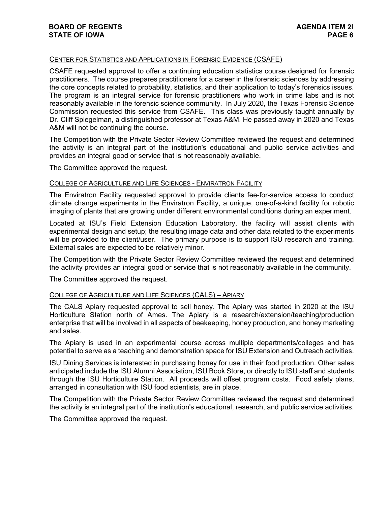### CENTER FOR STATISTICS AND APPLICATIONS IN FORENSIC EVIDENCE (CSAFE)

CSAFE requested approval to offer a continuing education statistics course designed for forensic practitioners. The course prepares practitioners for a career in the forensic sciences by addressing the core concepts related to probability, statistics, and their application to today's forensics issues. The program is an integral service for forensic practitioners who work in crime labs and is not reasonably available in the forensic science community. In July 2020, the Texas Forensic Science Commission requested this service from CSAFE. This class was previously taught annually by Dr. Cliff Spiegelman, a distinguished professor at Texas A&M. He passed away in 2020 and Texas A&M will not be continuing the course.

The Competition with the Private Sector Review Committee reviewed the request and determined the activity is an integral part of the institution's educational and public service activities and provides an integral good or service that is not reasonably available.

The Committee approved the request.

#### COLLEGE OF AGRICULTURE AND LIFE SCIENCES - ENVIRATRON FACILITY

The Enviratron Facility requested approval to provide clients fee-for-service access to conduct climate change experiments in the Enviratron Facility, a unique, one-of-a-kind facility for robotic imaging of plants that are growing under different environmental conditions during an experiment.

Located at ISU's Field Extension Education Laboratory, the facility will assist clients with experimental design and setup; the resulting image data and other data related to the experiments will be provided to the client/user. The primary purpose is to support ISU research and training. External sales are expected to be relatively minor.

The Competition with the Private Sector Review Committee reviewed the request and determined the activity provides an integral good or service that is not reasonably available in the community.

The Committee approved the request.

#### COLLEGE OF AGRICULTURE AND LIFE SCIENCES (CALS) – APIARY

The CALS Apiary requested approval to sell honey. The Apiary was started in 2020 at the ISU Horticulture Station north of Ames. The Apiary is a research/extension/teaching/production enterprise that will be involved in all aspects of beekeeping, honey production, and honey marketing and sales.

The Apiary is used in an experimental course across multiple departments/colleges and has potential to serve as a teaching and demonstration space for ISU Extension and Outreach activities.

ISU Dining Services is interested in purchasing honey for use in their food production. Other sales anticipated include the ISU Alumni Association, ISU Book Store, or directly to ISU staff and students through the ISU Horticulture Station. All proceeds will offset program costs. Food safety plans, arranged in consultation with ISU food scientists, are in place.

The Competition with the Private Sector Review Committee reviewed the request and determined the activity is an integral part of the institution's educational, research, and public service activities.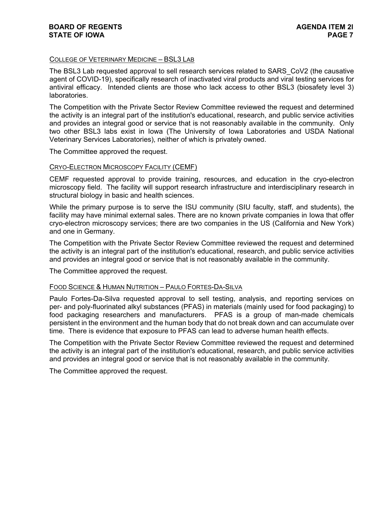### COLLEGE OF VETERINARY MEDICINE – BSL3 LAB

The BSL3 Lab requested approval to sell research services related to SARS\_CoV2 (the causative agent of COVID-19), specifically research of inactivated viral products and viral testing services for antiviral efficacy. Intended clients are those who lack access to other BSL3 (biosafety level 3) laboratories.

The Competition with the Private Sector Review Committee reviewed the request and determined the activity is an integral part of the institution's educational, research, and public service activities and provides an integral good or service that is not reasonably available in the community. Only two other BSL3 labs exist in Iowa (The University of Iowa Laboratories and USDA National Veterinary Services Laboratories), neither of which is privately owned.

The Committee approved the request.

### CRYO-ELECTRON MICROSCOPY FACILITY (CEMF)

CEMF requested approval to provide training, resources, and education in the cryo-electron microscopy field. The facility will support research infrastructure and interdisciplinary research in structural biology in basic and health sciences.

While the primary purpose is to serve the ISU community (SIU faculty, staff, and students), the facility may have minimal external sales. There are no known private companies in Iowa that offer cryo-electron microscopy services; there are two companies in the US (California and New York) and one in Germany.

The Competition with the Private Sector Review Committee reviewed the request and determined the activity is an integral part of the institution's educational, research, and public service activities and provides an integral good or service that is not reasonably available in the community.

The Committee approved the request.

#### FOOD SCIENCE & HUMAN NUTRITION – PAULO FORTES-DA-SILVA

Paulo Fortes-Da-Silva requested approval to sell testing, analysis, and reporting services on per- and poly-fluorinated alkyl substances (PFAS) in materials (mainly used for food packaging) to food packaging researchers and manufacturers. PFAS is a group of man-made chemicals persistent in the environment and the human body that do not break down and can accumulate over time. There is evidence that exposure to PFAS can lead to adverse human health effects.

The Competition with the Private Sector Review Committee reviewed the request and determined the activity is an integral part of the institution's educational, research, and public service activities and provides an integral good or service that is not reasonably available in the community.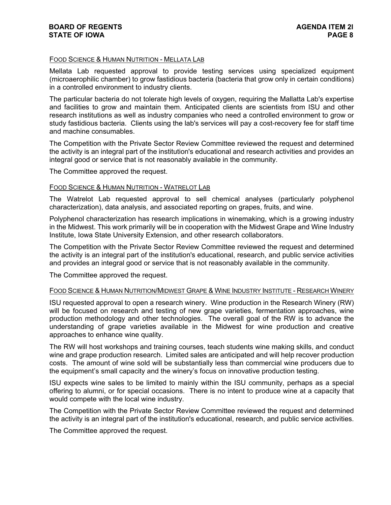### FOOD SCIENCE & HUMAN NUTRITION - MELLATA LAB

Mellata Lab requested approval to provide testing services using specialized equipment (microaerophilic chamber) to grow fastidious bacteria (bacteria that grow only in certain conditions) in a controlled environment to industry clients.

The particular bacteria do not tolerate high levels of oxygen, requiring the Mallatta Lab's expertise and facilities to grow and maintain them. Anticipated clients are scientists from ISU and other research institutions as well as industry companies who need a controlled environment to grow or study fastidious bacteria. Clients using the lab's services will pay a cost-recovery fee for staff time and machine consumables.

The Competition with the Private Sector Review Committee reviewed the request and determined the activity is an integral part of the institution's educational and research activities and provides an integral good or service that is not reasonably available in the community.

The Committee approved the request.

#### FOOD SCIENCE & HUMAN NUTRITION - WATRELOT LAB

The Watrelot Lab requested approval to sell chemical analyses (particularly polyphenol characterization), data analysis, and associated reporting on grapes, fruits, and wine.

Polyphenol characterization has research implications in winemaking, which is a growing industry in the Midwest. This work primarily will be in cooperation with the Midwest Grape and Wine Industry Institute, Iowa State University Extension, and other research collaborators.

The Competition with the Private Sector Review Committee reviewed the request and determined the activity is an integral part of the institution's educational, research, and public service activities and provides an integral good or service that is not reasonably available in the community.

The Committee approved the request.

#### FOOD SCIENCE & HUMAN NUTRITION/MIDWEST GRAPE & WINE INDUSTRY INSTITUTE - RESEARCH WINERY

ISU requested approval to open a research winery. Wine production in the Research Winery (RW) will be focused on research and testing of new grape varieties, fermentation approaches, wine production methodology and other technologies. The overall goal of the RW is to advance the understanding of grape varieties available in the Midwest for wine production and creative approaches to enhance wine quality.

The RW will host workshops and training courses, teach students wine making skills, and conduct wine and grape production research. Limited sales are anticipated and will help recover production costs. The amount of wine sold will be substantially less than commercial wine producers due to the equipment's small capacity and the winery's focus on innovative production testing.

ISU expects wine sales to be limited to mainly within the ISU community, perhaps as a special offering to alumni, or for special occasions. There is no intent to produce wine at a capacity that would compete with the local wine industry.

The Competition with the Private Sector Review Committee reviewed the request and determined the activity is an integral part of the institution's educational, research, and public service activities.